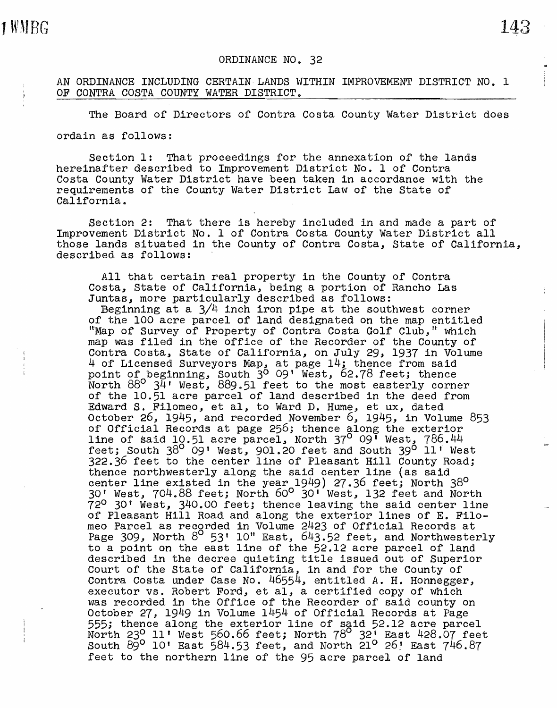## AN ORDINANCE INCLUDING CERTAIN LANDS WITHIN IMPROVEMENT DISTRICT NO. l OF CONTRA COSTA COUNTY WATER DISTRICT.

The Board of Directors of Contra Costa County Water District does

ordain as follows:

Section 1: That proceedings for the annexation of the lands hereinafter described to Improvement District No. 1 of Contra Costa County Water District have been taken in accordance with the requirements of the County Water District Law of the State of California.

Section 2: That there is hereby included in and made a part of Improvement District No. 1 of Contra Costa County Water District all those lands situated in the County of Contra Costa, State of California, described as follows:

All that certain real property in the County of Contra Costa, State of California, being a portion of Rancho Las Juntas, more particularly described as follows:

Beginning at a  $3/4$  inch iron pipe at the southwest corner of the 100 acre parcel of land designated on the map entitled "Map of Survey of Property of Contra Costa Golf Club," which map was filed in the office of the Recorder of the County of Contra Costa, State of California, on July 29, 1937 in Volume 4 of Licensed Surveyors Map, at page 14; thence from said point of beginning, South 3<sup>0</sup> 09' West, 62.78 feet; thence North 88° 34' West, 889.51 feet to the most easterly corner of the 10.51 acre parcel of land described in the deed from Edward S. Filomeo, et al, to Ward D. Hume, et ux, dated October 26, 1945, and recorded November 6., 1945, in Volume 853 of Official Records at page 256; thence along the exterior line of said 10.51 acre parcel, North 37<sup>0</sup> 09' West, 786.44 feet; South 38<sup>0</sup> 09' West, 901.20 feet and South 39<sup>0</sup> 11' West 322.36 feet to the center line of Pleasant Hill County Road; thence northwesterly along the said center line (as said. center line existed in the year 1949) 27.36 *feet;* North 38° 30' West., 704.88 feet; North 60° 30' West, 132 feet and North 72° 30' West, 340.00 feet; thence leaving the said center line of Pleasant Hill Road and along the exterior lines of E. Filomeo Parcel as recorded in Volume 2423 of Official Records at Page 309, North 8<sup>o</sup> 53' 10" East, 643.52 feet, and Northwesterly to a point on the east line of the 52.12 acre parcel of land described in the decree quieting title issued out of Superior described in the decree quieting title issued out of Superior Court of the State of California, in and for the County of Contra Costa under Case No. 46554, entitled A.H. Honnegger, executor vs. Robert Ford, et al, a certified copy of which was recorded in the Office of the Recorder of said county on October 27, 1949 in Volume 1454 of Official Records at Page<br>555; thence along the exterior line of said 52.12 acre parcel North  $23^\circ$  11' West 560.66 feet; North  $78^\circ$  32' East 428.07 feet South  $\frac{1}{29}$ <sup>o</sup> 10' East 584.53 feet, and North 21<sup>o</sup> 26! East 746.87 feet to the northern line of the 95 acre parcel of land